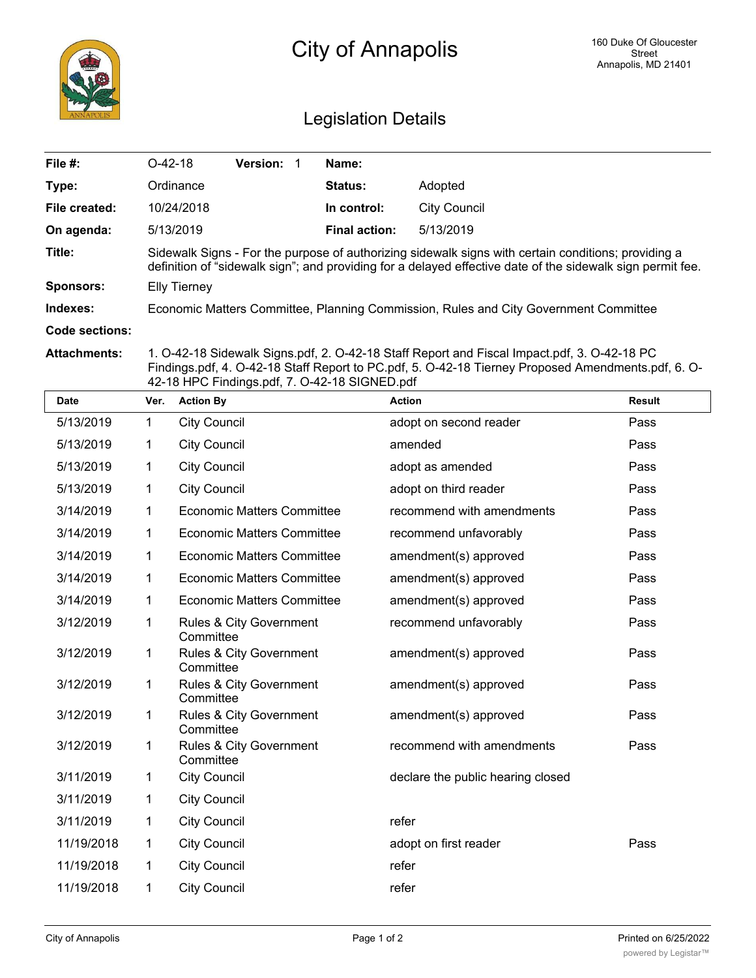

## City of Annapolis

## Legislation Details

| File #:          | $O-42-18$                                                                                                                                                                                                         | <b>Version:</b> |  | Name:                |              |  |
|------------------|-------------------------------------------------------------------------------------------------------------------------------------------------------------------------------------------------------------------|-----------------|--|----------------------|--------------|--|
| Type:            | Ordinance                                                                                                                                                                                                         |                 |  | <b>Status:</b>       | Adopted      |  |
| File created:    | 10/24/2018                                                                                                                                                                                                        |                 |  | In control:          | City Council |  |
| On agenda:       | 5/13/2019                                                                                                                                                                                                         |                 |  | <b>Final action:</b> | 5/13/2019    |  |
| Title:           | Sidewalk Signs - For the purpose of authorizing sidewalk signs with certain conditions; providing a<br>definition of "sidewalk sign"; and providing for a delayed effective date of the sidewalk sign permit fee. |                 |  |                      |              |  |
| <b>Sponsors:</b> | Elly Tierney                                                                                                                                                                                                      |                 |  |                      |              |  |
| Indexes:         | Economic Matters Committee, Planning Commission, Rules and City Government Committee                                                                                                                              |                 |  |                      |              |  |
| Code sections:   |                                                                                                                                                                                                                   |                 |  |                      |              |  |

**Attachments:** 1. O-42-18 Sidewalk Signs.pdf, 2. O-42-18 Staff Report and Fiscal Impact.pdf, 3. O-42-18 PC Findings.pdf, 4. O-42-18 Staff Report to PC.pdf, 5. O-42-18 Tierney Proposed Amendments.pdf, 6. O-42-18 HPC Findings.pdf, 7. O-42-18 SIGNED.pdf

| <b>Date</b> | Ver.         | <b>Action By</b>                     | <b>Action</b>                     | <b>Result</b> |
|-------------|--------------|--------------------------------------|-----------------------------------|---------------|
| 5/13/2019   | 1            | <b>City Council</b>                  | adopt on second reader            | Pass          |
| 5/13/2019   | 1            | <b>City Council</b>                  | amended                           | Pass          |
| 5/13/2019   | 1            | <b>City Council</b>                  | adopt as amended                  | Pass          |
| 5/13/2019   | 1            | <b>City Council</b>                  | adopt on third reader             | Pass          |
| 3/14/2019   | 1            | <b>Economic Matters Committee</b>    | recommend with amendments         | Pass          |
| 3/14/2019   | 1            | <b>Economic Matters Committee</b>    | recommend unfavorably             | Pass          |
| 3/14/2019   | 1            | <b>Economic Matters Committee</b>    | amendment(s) approved             | Pass          |
| 3/14/2019   | 1            | <b>Economic Matters Committee</b>    | amendment(s) approved             | Pass          |
| 3/14/2019   | 1            | <b>Economic Matters Committee</b>    | amendment(s) approved             | Pass          |
| 3/12/2019   | $\mathbf{1}$ | Rules & City Government<br>Committee | recommend unfavorably             | Pass          |
| 3/12/2019   | 1            | Rules & City Government<br>Committee | amendment(s) approved             | Pass          |
| 3/12/2019   | $\mathbf{1}$ | Rules & City Government<br>Committee | amendment(s) approved             | Pass          |
| 3/12/2019   | 1            | Rules & City Government<br>Committee | amendment(s) approved             | Pass          |
| 3/12/2019   | $\mathbf{1}$ | Rules & City Government<br>Committee | recommend with amendments         | Pass          |
| 3/11/2019   | 1            | <b>City Council</b>                  | declare the public hearing closed |               |
| 3/11/2019   | 1            | <b>City Council</b>                  |                                   |               |
| 3/11/2019   | 1            | <b>City Council</b>                  | refer                             |               |
| 11/19/2018  | 1            | <b>City Council</b>                  | adopt on first reader             | Pass          |
| 11/19/2018  | 1            | <b>City Council</b>                  | refer                             |               |
| 11/19/2018  | 1            | <b>City Council</b>                  | refer                             |               |
|             |              |                                      |                                   |               |